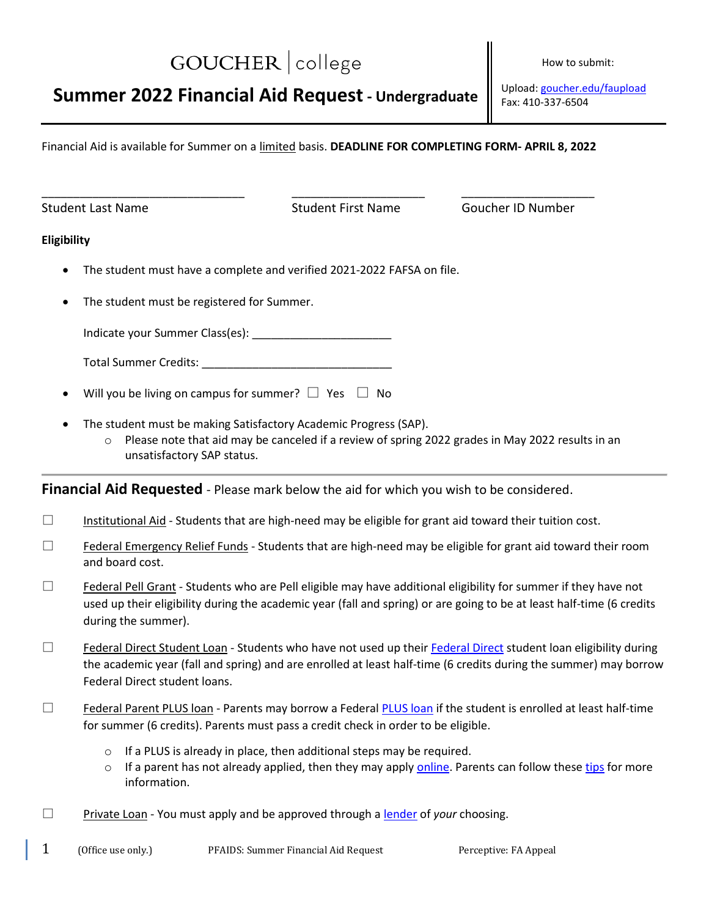# GOUCHER | college

# **Summer 2022 Financial Aid Request - Undergraduate**

 Upload: [goucher.edu/faupload](https://www.goucher.edu/faupload) Fax: 410-337-6504

How to submit:

Financial Aid is available for Summer on a limited basis. **DEADLINE FOR COMPLETING FORM- APRIL 8, 2022**

\_\_\_\_\_\_\_\_\_\_\_\_\_\_\_\_\_\_\_\_\_\_\_\_\_\_\_\_\_\_\_\_ \_\_\_\_\_\_\_\_\_\_\_\_\_\_\_\_\_\_\_\_\_ \_\_\_\_\_\_\_\_\_\_\_\_\_\_\_\_\_\_\_\_\_

Student Last Name Student First Name Goucher ID Number

#### **Eligibility**

- The student must have a complete and verified 2021-2022 FAFSA on file.
- The student must be registered for Summer.

Indicate your Summer Class(es): \_\_\_\_\_\_\_\_\_\_\_\_\_\_\_\_\_\_\_\_\_\_

| <b>Total Summer Credits:</b> |  |
|------------------------------|--|
|------------------------------|--|

- Will you be living on campus for summer?  $\Box$  Yes  $\Box$  No
- The student must be making Satisfactory Academic Progress (SAP).
	- $\circ$  Please note that aid may be canceled if a review of spring 2022 grades in May 2022 results in an unsatisfactory SAP status.

**Financial Aid Requested** - Please mark below the aid for which you wish to be considered.

- $\square$  Institutional Aid Students that are high-need may be eligible for grant aid toward their tuition cost.
- $\Box$  Federal Emergency Relief Funds Students that are high-need may be eligible for grant aid toward their room and board cost.
- $\Box$  Federal Pell Grant Students who are Pell eligible may have additional eligibility for summer if they have not used up their eligibility during the academic year (fall and spring) or are going to be at least half-time (6 credits during the summer).
- $\square$  [Federal Direct](https://www.goucher.edu/financial-aid/types-of-financial-aid/loans) Student Loan Students who have not used up their Federal Direct student loan eligibility during the academic year (fall and spring) and are enrolled at least half-time (6 credits during the summer) may borrow Federal Direct student loans.
- $\square$  Federal Parent [PLUS loan](https://www.goucher.edu/financial-aid/types-of-financial-aid/loans) Parents may borrow a Federal PLUS loan if the student is enrolled at least half-time for summer (6 credits). Parents must pass a credit check in order to be eligible.
	- o If a PLUS is already in place, then additional steps may be required.
	- $\circ$  If a parent has not already applied, then they may apply [online.](https://studentaid.gov/app/launchPLUS.action?plusType=parentPlus) Parents can follow thes[e tips](https://www.goucher.edu/financial-aid/documents/20-21/20-21-Parent-PLUS.pdf) for more information.
- □ Private Loan You must apply and be approved through a [lender](https://www.elmselect.com/v4/) of *your* choosing.